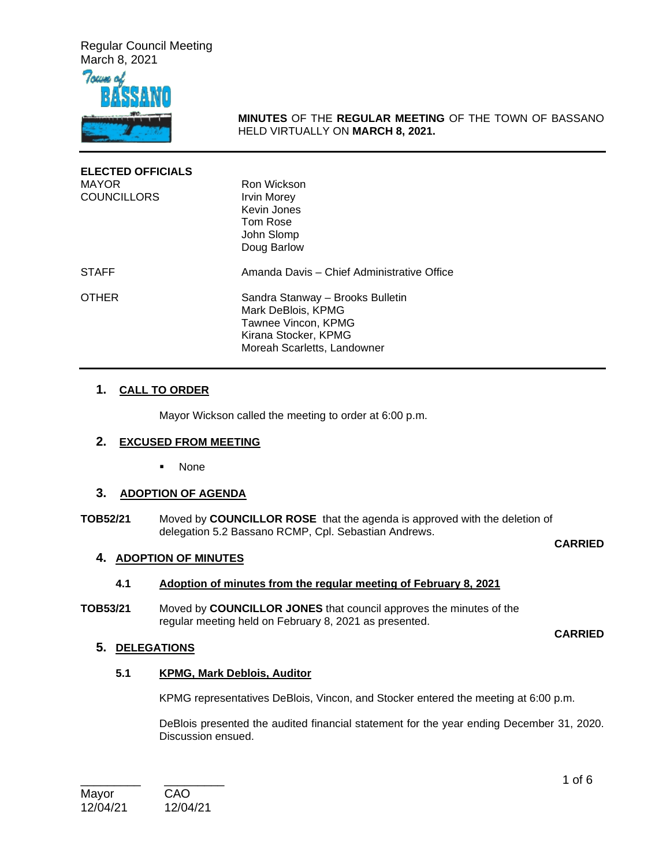Regular Council Meeting March 8, 2021



**MINUTES** OF THE **REGULAR MEETING** OF THE TOWN OF BASSANO HELD VIRTUALLY ON **MARCH 8, 2021.** 

| <b>ELECTED OFFICIALS</b><br><b>MAYOR</b><br><b>COUNCILLORS</b> | Ron Wickson<br><b>Irvin Morey</b><br>Kevin Jones<br>Tom Rose<br>John Slomp<br>Doug Barlow                                            |
|----------------------------------------------------------------|--------------------------------------------------------------------------------------------------------------------------------------|
| <b>STAFF</b>                                                   | Amanda Davis - Chief Administrative Office                                                                                           |
| <b>OTHER</b>                                                   | Sandra Stanway - Brooks Bulletin<br>Mark DeBlois, KPMG<br>Tawnee Vincon, KPMG<br>Kirana Stocker, KPMG<br>Moreah Scarletts, Landowner |

## **1. CALL TO ORDER**

Mayor Wickson called the meeting to order at 6:00 p.m.

## **2. EXCUSED FROM MEETING**

None

# **3. ADOPTION OF AGENDA**

**TOB52/21** Moved by **COUNCILLOR ROSE** that the agenda is approved with the deletion of delegation 5.2 Bassano RCMP, Cpl. Sebastian Andrews.

#### **CARRIED**

## **4. ADOPTION OF MINUTES**

#### **4.1 Adoption of minutes from the regular meeting of February 8, 2021**

**TOB53/21** Moved by **COUNCILLOR JONES** that council approves the minutes of the regular meeting held on February 8, 2021 as presented.

#### **CARRIED**

# **5. DELEGATIONS**

## **5.1 KPMG, Mark Deblois, Auditor**

KPMG representatives DeBlois, Vincon, and Stocker entered the meeting at 6:00 p.m.

DeBlois presented the audited financial statement for the year ending December 31, 2020. Discussion ensued.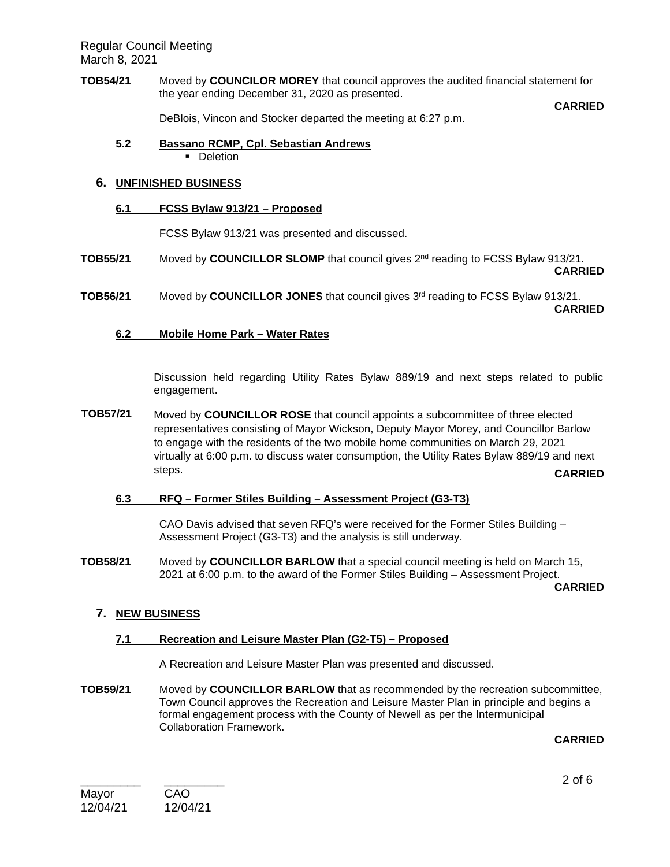Regular Council Meeting March 8, 2021

**TOB54/21** Moved by **COUNCILOR MOREY** that council approves the audited financial statement for the year ending December 31, 2020 as presented.

**CARRIED**

DeBlois, Vincon and Stocker departed the meeting at 6:27 p.m.

**5.2 Bassano RCMP, Cpl. Sebastian Andrews Deletion** 

# **6. UNFINISHED BUSINESS**

# **6.1 FCSS Bylaw 913/21 – Proposed**

FCSS Bylaw 913/21 was presented and discussed.

- **TOB55/21** Moved by **COUNCILLOR SLOMP** that council gives 2nd reading to FCSS Bylaw 913/21. **CARRIED**
- **TOB56/21** Moved by **COUNCILLOR JONES** that council gives 3rd reading to FCSS Bylaw 913/21. **CARRIED**

# **6.2 Mobile Home Park – Water Rates**

Discussion held regarding Utility Rates Bylaw 889/19 and next steps related to public engagement.

**TOB57/21** Moved by **COUNCILLOR ROSE** that council appoints a subcommittee of three elected representatives consisting of Mayor Wickson, Deputy Mayor Morey, and Councillor Barlow to engage with the residents of the two mobile home communities on March 29, 2021 virtually at 6:00 p.m. to discuss water consumption, the Utility Rates Bylaw 889/19 and next steps. **CARRIED**

## **6.3 RFQ – Former Stiles Building – Assessment Project (G3-T3)**

CAO Davis advised that seven RFQ's were received for the Former Stiles Building – Assessment Project (G3-T3) and the analysis is still underway.

**TOB58/21** Moved by **COUNCILLOR BARLOW** that a special council meeting is held on March 15, 2021 at 6:00 p.m. to the award of the Former Stiles Building – Assessment Project.

**CARRIED**

# **7. NEW BUSINESS**

## **7.1 Recreation and Leisure Master Plan (G2-T5) – Proposed**

A Recreation and Leisure Master Plan was presented and discussed.

**TOB59/21** Moved by **COUNCILLOR BARLOW** that as recommended by the recreation subcommittee, Town Council approves the Recreation and Leisure Master Plan in principle and begins a formal engagement process with the County of Newell as per the Intermunicipal Collaboration Framework.

**CARRIED**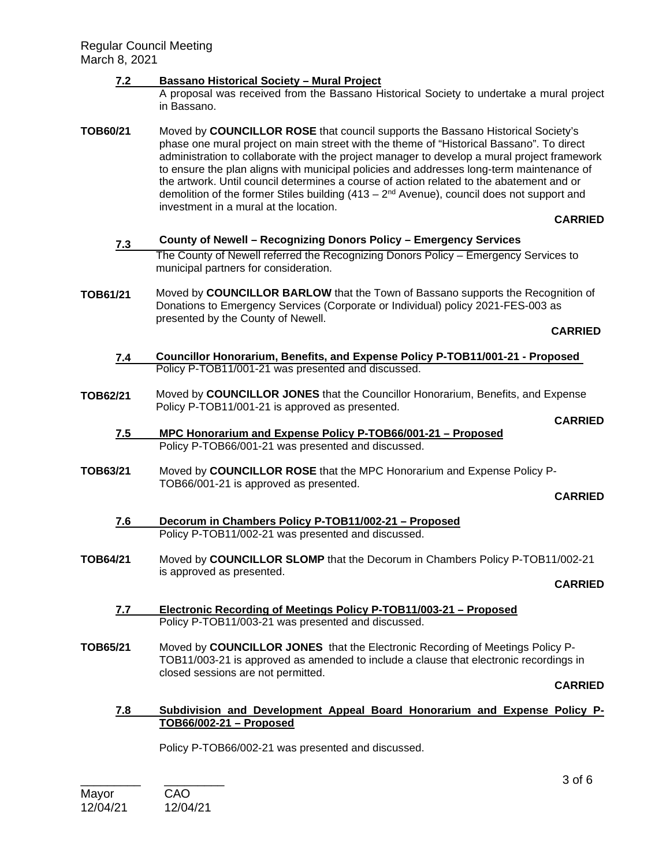## **7.2 Bassano Historical Society – Mural Project**

- A proposal was received from the Bassano Historical Society to undertake a mural project in Bassano.
- **TOB60/21** Moved by **COUNCILLOR ROSE** that council supports the Bassano Historical Society's phase one mural project on main street with the theme of "Historical Bassano". To direct administration to collaborate with the project manager to develop a mural project framework to ensure the plan aligns with municipal policies and addresses long-term maintenance of the artwork. Until council determines a course of action related to the abatement and or demolition of the former Stiles building  $(413 - 2<sup>nd</sup>$  Avenue), council does not support and investment in a mural at the location.

#### **CARRIED**

- **7.3 County of Newell Recognizing Donors Policy Emergency Services**  The County of Newell referred the Recognizing Donors Policy – Emergency Services to municipal partners for consideration.
- **TOB61/21** Moved by **COUNCILLOR BARLOW** that the Town of Bassano supports the Recognition of Donations to Emergency Services (Corporate or Individual) policy 2021-FES-003 as presented by the County of Newell.

#### **CARRIED**

- **7.4 Councillor Honorarium, Benefits, and Expense Policy P-TOB11/001-21 - Proposed** Policy P-TOB11/001-21 was presented and discussed.
- **TOB62/21** Moved by **COUNCILLOR JONES** that the Councillor Honorarium, Benefits, and Expense Policy P-TOB11/001-21 is approved as presented.

#### **CARRIED**

- **7.5 MPC Honorarium and Expense Policy P-TOB66/001-21 Proposed**  Policy P-TOB66/001-21 was presented and discussed.
- **TOB63/21** Moved by **COUNCILLOR ROSE** that the MPC Honorarium and Expense Policy P-TOB66/001-21 is approved as presented.

**CARRIED**

- **7.6 Decorum in Chambers Policy P-TOB11/002-21 Proposed**  Policy P-TOB11/002-21 was presented and discussed.
- **TOB64/21** Moved by **COUNCILLOR SLOMP** that the Decorum in Chambers Policy P-TOB11/002-21 is approved as presented.

#### **CARRIED**

- **7.7 Electronic Recording of Meetings Policy P-TOB11/003-21 Proposed**  Policy P-TOB11/003-21 was presented and discussed.
- **TOB65/21** Moved by **COUNCILLOR JONES** that the Electronic Recording of Meetings Policy P-TOB11/003-21 is approved as amended to include a clause that electronic recordings in closed sessions are not permitted.

**CARRIED**

#### **7.8 Subdivision and Development Appeal Board Honorarium and Expense Policy P-TOB66/002-21 – Proposed**

Policy P-TOB66/002-21 was presented and discussed.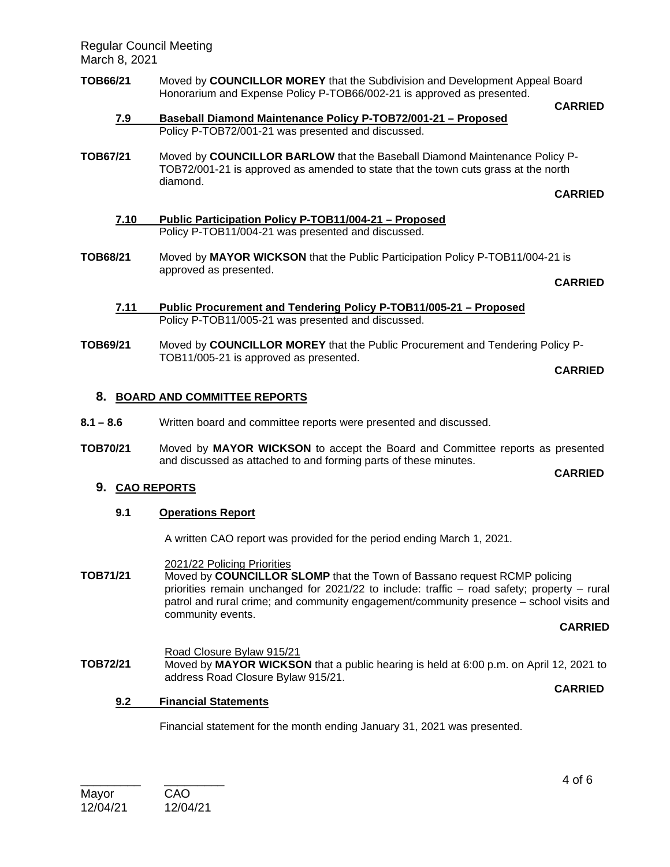Regular Council Meeting March 8, 2021

## **TOB66/21** Moved by **COUNCILLOR MOREY** that the Subdivision and Development Appeal Board Honorarium and Expense Policy P-TOB66/002-21 is approved as presented.

- **7.9 Baseball Diamond Maintenance Policy P-TOB72/001-21 Proposed**  Policy P-TOB72/001-21 was presented and discussed.
- **TOB67/21** Moved by **COUNCILLOR BARLOW** that the Baseball Diamond Maintenance Policy P-TOB72/001-21 is approved as amended to state that the town cuts grass at the north diamond.

**CARRIED**

**CARRIED**

- **7.10 Public Participation Policy P-TOB11/004-21 Proposed**  Policy P-TOB11/004-21 was presented and discussed.
- **TOB68/21** Moved by **MAYOR WICKSON** that the Public Participation Policy P-TOB11/004-21 is approved as presented.

**CARRIED**

- **7.11 Public Procurement and Tendering Policy P-TOB11/005-21 Proposed**  Policy P-TOB11/005-21 was presented and discussed.
- **TOB69/21** Moved by **COUNCILLOR MOREY** that the Public Procurement and Tendering Policy P-TOB11/005-21 is approved as presented.

**CARRIED**

**CARRIED**

# **8. BOARD AND COMMITTEE REPORTS**

- **8.1 8.6** Written board and committee reports were presented and discussed.
- **TOB70/21** Moved by **MAYOR WICKSON** to accept the Board and Committee reports as presented and discussed as attached to and forming parts of these minutes.

## **9. CAO REPORTS**

## **9.1 Operations Report**

A written CAO report was provided for the period ending March 1, 2021.

## 2021/22 Policing Priorities

**TOB71/21** Moved by **COUNCILLOR SLOMP** that the Town of Bassano request RCMP policing priorities remain unchanged for 2021/22 to include: traffic – road safety; property – rural patrol and rural crime; and community engagement/community presence – school visits and community events.

## **CARRIED**

**CARRIED**

Road Closure Bylaw 915/21 **TOB72/21** Moved by **MAYOR WICKSON** that a public hearing is held at 6:00 p.m. on April 12, 2021 to address Road Closure Bylaw 915/21.

## **9.2 Financial Statements**

Financial statement for the month ending January 31, 2021 was presented.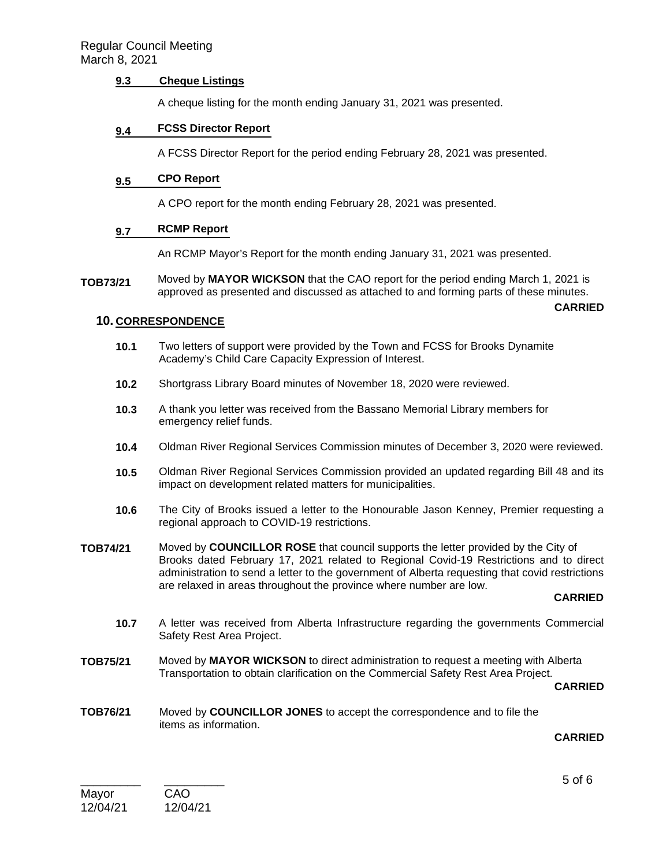## **9.3 Cheque Listings**

A cheque listing for the month ending January 31, 2021 was presented.

#### **9.4 FCSS Director Report**

A FCSS Director Report for the period ending February 28, 2021 was presented.

#### **9.5 CPO Report**

A CPO report for the month ending February 28, 2021 was presented.

#### **9.7 RCMP Report**

An RCMP Mayor's Report for the month ending January 31, 2021 was presented.

**TOB73/21** Moved by **MAYOR WICKSON** that the CAO report for the period ending March 1, 2021 is approved as presented and discussed as attached to and forming parts of these minutes.

#### **10. CORRESPONDENCE**

- **10.1** Two letters of support were provided by the Town and FCSS for Brooks Dynamite Academy's Child Care Capacity Expression of Interest.
- **10.2** Shortgrass Library Board minutes of November 18, 2020 were reviewed.
- **10.3** A thank you letter was received from the Bassano Memorial Library members for emergency relief funds.
- **10.4** Oldman River Regional Services Commission minutes of December 3, 2020 were reviewed.
- **10.5** Oldman River Regional Services Commission provided an updated regarding Bill 48 and its impact on development related matters for municipalities.
- **10.6** The City of Brooks issued a letter to the Honourable Jason Kenney, Premier requesting a regional approach to COVID-19 restrictions.
- **TOB74/21** Moved by **COUNCILLOR ROSE** that council supports the letter provided by the City of Brooks dated February 17, 2021 related to Regional Covid-19 Restrictions and to direct administration to send a letter to the government of Alberta requesting that covid restrictions are relaxed in areas throughout the province where number are low.

#### **CARRIED**

**CARRIED**

- **10.7** A letter was received from Alberta Infrastructure regarding the governments Commercial Safety Rest Area Project.
- **TOB75/21** Moved by **MAYOR WICKSON** to direct administration to request a meeting with Alberta Transportation to obtain clarification on the Commercial Safety Rest Area Project.

#### **CARRIED**

**TOB76/21** Moved by **COUNCILLOR JONES** to accept the correspondence and to file the items as information.

#### **CARRIED**